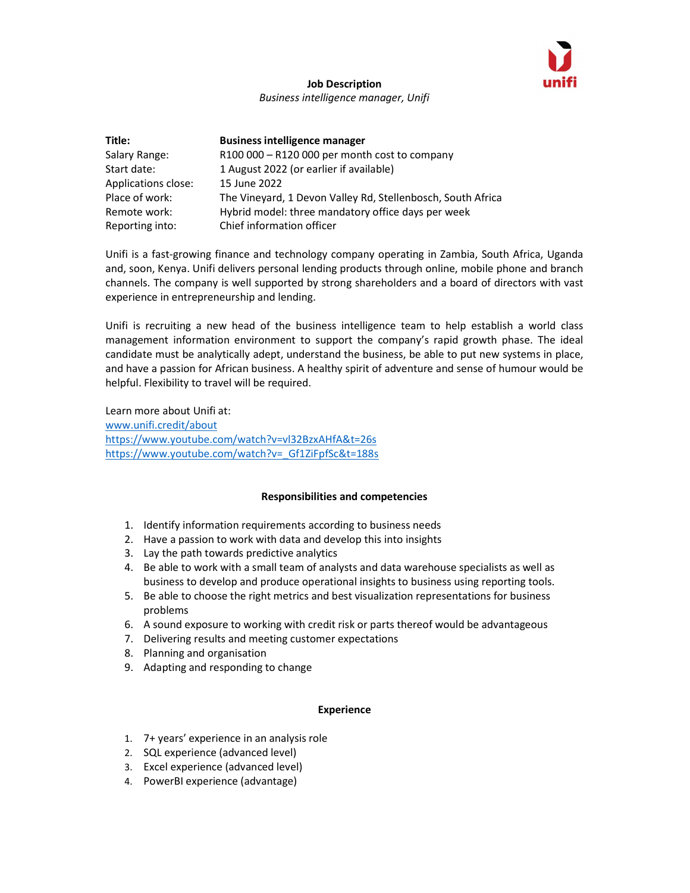

## Job Description Business intelligence manager, Unifi

| Title:              | <b>Business intelligence manager</b>                        |
|---------------------|-------------------------------------------------------------|
| Salary Range:       | $R100000 - R120000$ per month cost to company               |
| Start date:         | 1 August 2022 (or earlier if available)                     |
| Applications close: | 15 June 2022                                                |
| Place of work:      | The Vineyard, 1 Devon Valley Rd, Stellenbosch, South Africa |
| Remote work:        | Hybrid model: three mandatory office days per week          |
| Reporting into:     | Chief information officer                                   |

Unifi is a fast-growing finance and technology company operating in Zambia, South Africa, Uganda and, soon, Kenya. Unifi delivers personal lending products through online, mobile phone and branch channels. The company is well supported by strong shareholders and a board of directors with vast experience in entrepreneurship and lending.

Unifi is recruiting a new head of the business intelligence team to help establish a world class management information environment to support the company's rapid growth phase. The ideal candidate must be analytically adept, understand the business, be able to put new systems in place, and have a passion for African business. A healthy spirit of adventure and sense of humour would be helpful. Flexibility to travel will be required.

Learn more about Unifi at: www.unifi.credit/about https://www.youtube.com/watch?v=vl32BzxAHfA&t=26s https://www.youtube.com/watch?v=\_Gf1ZiFpfSc&t=188s

## Responsibilities and competencies

- 1. Identify information requirements according to business needs
- 2. Have a passion to work with data and develop this into insights
- 3. Lay the path towards predictive analytics
- 4. Be able to work with a small team of analysts and data warehouse specialists as well as business to develop and produce operational insights to business using reporting tools.
- 5. Be able to choose the right metrics and best visualization representations for business problems
- 6. A sound exposure to working with credit risk or parts thereof would be advantageous
- 7. Delivering results and meeting customer expectations
- 8. Planning and organisation
- 9. Adapting and responding to change

## Experience

- 1. 7+ years' experience in an analysis role
- 2. SQL experience (advanced level)
- 3. Excel experience (advanced level)
- 4. PowerBI experience (advantage)